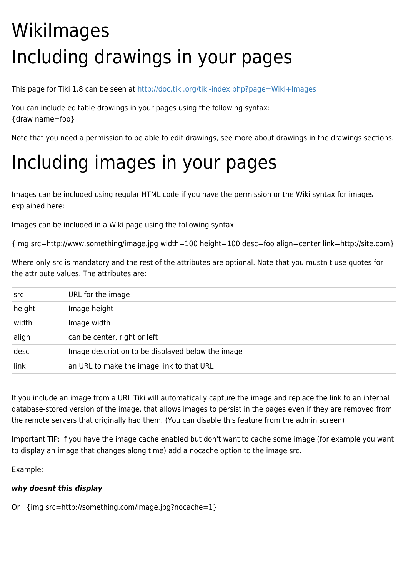# WikiImages Including drawings in your pages

This page for Tiki 1.8 can be seen at <http://doc.tiki.org/tiki-index.php?page=Wiki+Images>

You can include editable drawings in your pages using the following syntax: {draw name=foo}

Note that you need a permission to be able to edit drawings, see more about drawings in the drawings sections.

## Including images in your pages

Images can be included using regular HTML code if you have the permission or the Wiki syntax for images explained here:

Images can be included in a Wiki page using the following syntax

{img src=http://www.something/image.jpg width=100 height=100 desc=foo align=center link=http://site.com}

Where only src is mandatory and the rest of the attributes are optional. Note that you mustn t use quotes for the attribute values. The attributes are:

| src    | URL for the image                                 |
|--------|---------------------------------------------------|
| height | Image height                                      |
| width  | Image width                                       |
| align  | can be center, right or left                      |
| desc   | Image description to be displayed below the image |
| link   | an URL to make the image link to that URL         |

If you include an image from a URL Tiki will automatically capture the image and replace the link to an internal database-stored version of the image, that allows images to persist in the pages even if they are removed from the remote servers that originally had them. (You can disable this feature from the admin screen)

Important TIP: If you have the image cache enabled but don't want to cache some image (for example you want to display an image that changes along time) add a nocache option to the image src.

Example:

### *why doesnt this display*

Or : {img src=http://something.com/image.jpg?nocache=1}